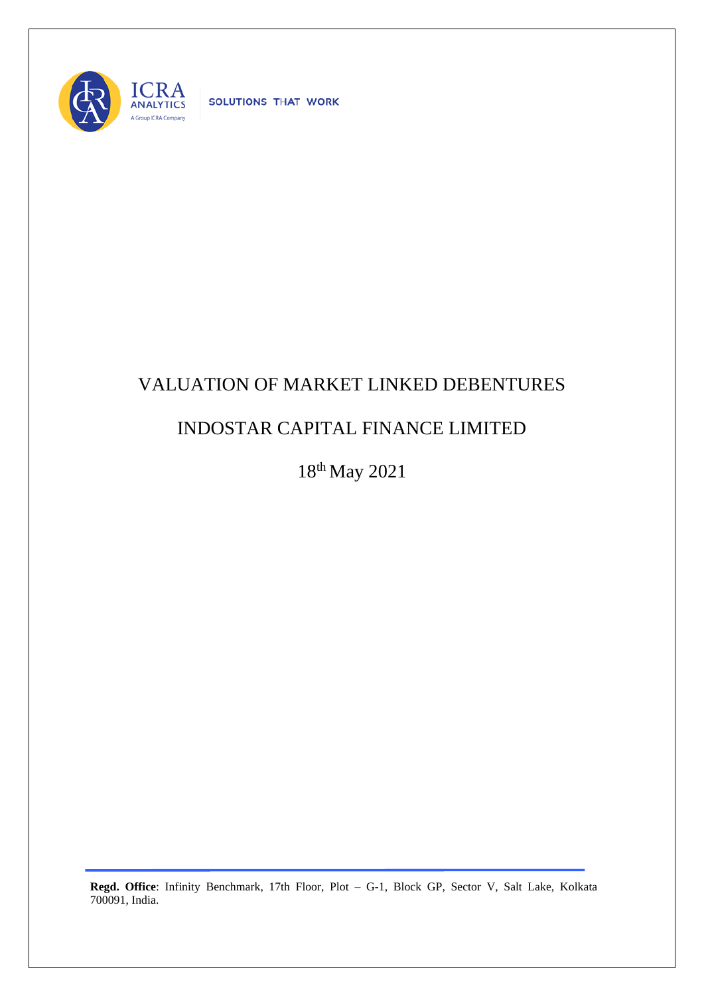

SOLUTIONS THAT WORK

## VALUATION OF MARKET LINKED DEBENTURES

## INDOSTAR CAPITAL FINANCE LIMITED

18 th May 2021

**Regd. Office**: Infinity Benchmark, 17th Floor, Plot – G-1, Block GP, Sector V, Salt Lake, Kolkata 700091, India.